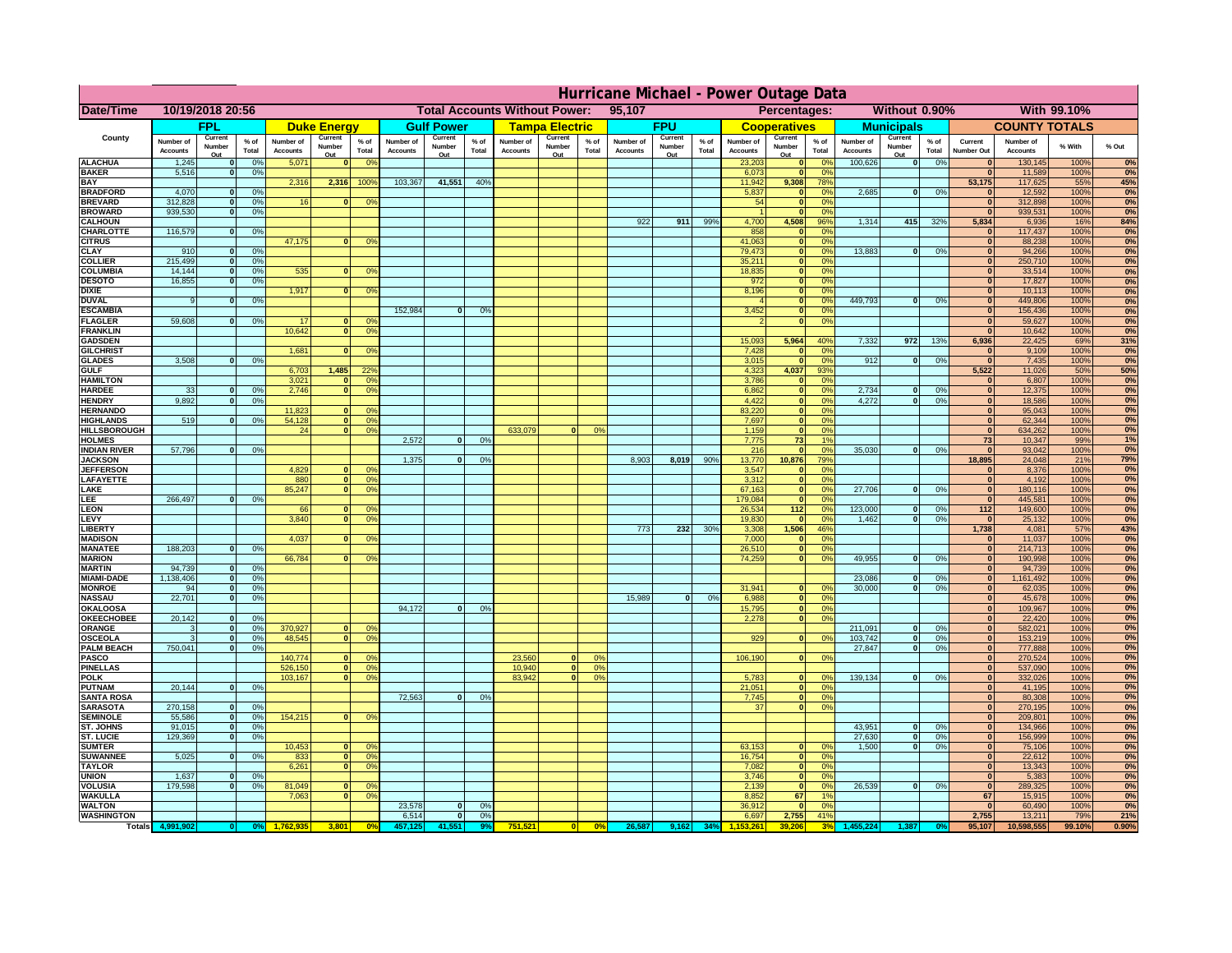|                                         | Hurricane Michael - Power Outage Data |                              |                      |                              |                                                |                                  |                              |                   |                |                              |                                              |                  |                       |                   |                 |                              |                      |                       |                              |                         |                 |                              |                              |               |              |
|-----------------------------------------|---------------------------------------|------------------------------|----------------------|------------------------------|------------------------------------------------|----------------------------------|------------------------------|-------------------|----------------|------------------------------|----------------------------------------------|------------------|-----------------------|-------------------|-----------------|------------------------------|----------------------|-----------------------|------------------------------|-------------------------|-----------------|------------------------------|------------------------------|---------------|--------------|
| Date/Time                               | 10/19/2018 20:56                      |                              |                      |                              | <b>Total Accounts Without Power:</b><br>95,107 |                                  |                              |                   |                |                              | Without 0.90%<br>With 99.10%<br>Percentages: |                  |                       |                   |                 |                              |                      |                       |                              |                         |                 |                              |                              |               |              |
|                                         |                                       | FPL                          |                      |                              | <b>Duke Energy</b>                             |                                  |                              | <b>Gulf Power</b> |                |                              | <b>Tampa Electric</b>                        |                  |                       | <b>FPU</b>        |                 |                              | <b>Cooperatives</b>  |                       |                              | <b>Municipals</b>       |                 |                              | <b>COUNTY TOTALS</b>         |               |              |
| County                                  | Number of<br><b>Accounts</b>          | Current<br>Number            | $%$ of<br>Total      | Number of<br><b>Accounts</b> | Current<br>Number                              | $%$ of<br>Total                  | Number of<br><b>Accounts</b> | Current<br>Number | % of<br>Total  | Number of<br><b>Accounts</b> | Current<br>Number                            | $%$ of<br>Total  | Number of<br>Accounts | Current<br>Number | $%$ of<br>Total | Number of<br><b>Accounts</b> | Current<br>Number    | $%$ of<br>Total       | Number of<br><b>Accounts</b> | Current<br>Number       | $%$ of<br>Total | Current<br><b>Number Out</b> | Number of<br><b>Accounts</b> | % With        | % Out        |
| <b>ALACHUA</b>                          | 1,245                                 | Out<br>$\mathbf{0}$          | 0%                   | 5,071                        | Out<br>$\mathbf{0}$                            | 0 <sup>9</sup>                   |                              | Out               |                |                              | Out                                          |                  |                       | Out               |                 | 23,203                       | Out<br> 0            | 0 <sup>9</sup>        | 100,626                      | Out<br> 0               | 0%              | $\bf{0}$                     | 130,145                      | 100%          | 0%           |
| <b>BAKER</b>                            | 5,516                                 | 0                            | 0%                   |                              |                                                |                                  |                              |                   |                |                              |                                              |                  |                       |                   |                 | 6,073                        | 0                    | 0%                    |                              |                         |                 | $\overline{0}$               | 11,589                       | 100%          | 0%           |
| <b>BAY</b><br><b>BRADFORD</b>           | 4,070                                 | $\mathbf{0}$                 | 0%                   | 2,316                        | 2,316                                          | 100%                             | 103,367                      | 41,551            | 40%            |                              |                                              |                  |                       |                   |                 | 11,942<br>5,837              | 9,308<br> 0          | 78%<br>0%             | 2,685                        | 0                       | 0%              | 53,175                       | 117,625<br>12,592            | 55%<br>100%   | 45%<br>0%    |
| <b>BREVARD</b>                          | 312,828                               | 0                            | 0%                   | 16                           | $\mathbf{0}$                                   | 0 <sup>o</sup>                   |                              |                   |                |                              |                                              |                  |                       |                   |                 | 54                           | 0                    | 0%                    |                              |                         |                 | $\mathbf{0}$                 | 312,898                      | 100%          | 0%           |
| <b>BROWARD</b>                          | 939.530                               | 0                            | 0%                   |                              |                                                |                                  |                              |                   |                |                              |                                              |                  |                       |                   |                 |                              | 0                    | 0%                    |                              |                         |                 | $\bf{0}$                     | 939,531                      | 100%          | 0%           |
| <b>CALHOUN</b><br>CHARLOTTE             | 116,579                               | 0                            | 0%                   |                              |                                                |                                  |                              |                   |                |                              |                                              |                  | 922                   | 911               | 99%             | 4,700<br>858                 | 4,508<br> 0          | 96%<br>0 <sup>9</sup> | 1,314                        | 415                     | 32%             | 5,834                        | 6,936<br>117,437             | 16%<br>100%   | 84%<br>0%    |
| <b>CITRUS</b>                           |                                       |                              |                      | 47,175                       | $\mathbf{0}$                                   | 0 <sup>o</sup>                   |                              |                   |                |                              |                                              |                  |                       |                   |                 | 41,063                       | 0                    | 0 <sup>9</sup>        |                              |                         |                 | $\bf{0}$                     | 88,238                       | 100%          | 0%           |
| <b>CLAY</b><br><b>COLLIER</b>           | 910<br>215,499                        | $\mathbf{0}$<br>$\mathbf{0}$ | 0%<br>0 <sup>9</sup> |                              |                                                |                                  |                              |                   |                |                              |                                              |                  |                       |                   |                 | 79,473<br>35,211             | 0 <br> 0             | 0 <sup>9</sup><br>0%  | 13,883                       | $\mathbf{0}$            | 0%              | $\bf{0}$<br>$\bf{0}$         | 94,266<br>250,710            | 100%<br>100%  | 0%<br>0%     |
| <b>COLUMBIA</b>                         | 14,144                                | $\mathbf 0$                  | 0%                   | 535                          | $\mathbf{0}$                                   | 0 <sup>9</sup>                   |                              |                   |                |                              |                                              |                  |                       |                   |                 | 18,835                       | 0                    | 0%                    |                              |                         |                 | $\bf{0}$                     | 33,514                       | 100%          | 0%           |
| <b>DESOTO</b>                           | 16,855                                | $\mathbf{0}$                 | 0%                   |                              |                                                |                                  |                              |                   |                |                              |                                              |                  |                       |                   |                 | 972                          | 0                    | 0%                    |                              |                         |                 | $\bf{0}$                     | 17,827                       | 100%          | 0%           |
| <b>DIXIE</b><br><b>DUVAL</b>            | 9                                     | $\Omega$                     | 0%                   | 1,917                        | $\Omega$                                       | 0 <sup>9</sup>                   |                              |                   |                |                              |                                              |                  |                       |                   |                 | 8,196                        | 0 <br> 0             | 0%<br>0%              | 449.793                      | $\overline{\mathbf{0}}$ | 0%              | $\Omega$<br>$\Omega$         | 10,113<br>449,806            | 100%<br>100%  | 0%<br>0%     |
| <b>ESCAMBIA</b>                         |                                       |                              |                      |                              |                                                |                                  | 152,984                      | $\mathbf{0}$      | 0 <sup>9</sup> |                              |                                              |                  |                       |                   |                 | 3,452                        | 0                    | 0%                    |                              |                         |                 | $\Omega$                     | 156,436                      | 100%          | 0%           |
| <b>FLAGLER</b>                          | 59,608                                | $\overline{0}$               | 0%                   | 17                           | $\bf{0}$                                       | 0 <sup>o</sup>                   |                              |                   |                |                              |                                              |                  |                       |                   |                 |                              | 0                    | 0%                    |                              |                         |                 | $\mathbf{0}$                 | 59,627                       | 100%          | 0%           |
| <b>FRANKLIN</b>                         |                                       |                              |                      | 10,642                       | 0                                              | 0 <sup>9</sup>                   |                              |                   |                |                              |                                              |                  |                       |                   |                 |                              | 5,964                |                       |                              |                         |                 | $\Omega$                     | 10,642                       | 100%<br>69%   | 0%           |
| <b>GADSDEN</b><br><b>GILCHRIST</b>      |                                       |                              |                      | 1,681                        | $\mathbf{0}$                                   | 0 <sup>9</sup>                   |                              |                   |                |                              |                                              |                  |                       |                   |                 | 15,093<br>7,428              | 0                    | 40%<br>0%             | 7,332                        | 972                     | 13%             | 6,936<br>$\mathbf{0}$        | 22,425<br>9,109              | 100%          | 31%<br>0%    |
| <b>GLADES</b>                           | 3,508                                 | 0                            | 0%                   |                              |                                                |                                  |                              |                   |                |                              |                                              |                  |                       |                   |                 | 3,015                        | 0                    | 0%                    | 912                          | $\overline{0}$          | 0%              | $\overline{0}$               | 7,435                        | 100%          | 0%           |
| <b>GULF</b>                             |                                       |                              |                      | 6,703                        | 1,485<br>$\Omega$                              | 22 <sup>o</sup>                  |                              |                   |                |                              |                                              |                  |                       |                   |                 | 4,323                        | 4,037                | 93%<br>0%             |                              |                         |                 | 5,522<br>$\Omega$            | 11,026                       | 50%           | 50%          |
| <b>HAMILTON</b><br><b>HARDEE</b>        | 33                                    | $\overline{0}$               | 0%                   | 3,021<br>2.746               | $\overline{0}$                                 | 0 <sup>9</sup><br>0 <sup>9</sup> |                              |                   |                |                              |                                              |                  |                       |                   |                 | 3,786<br>6.862               | 0 <br>$\overline{0}$ | 0%                    | 2.734                        | $\mathbf{0}$            | 0%              | 0                            | 6,807<br>12,375              | 100%<br>100%  | 0%<br>0%     |
| <b>HENDRY</b>                           | 9,892                                 | $\Omega$                     | 0%                   |                              |                                                |                                  |                              |                   |                |                              |                                              |                  |                       |                   |                 | 4,422                        | 0                    | 0%                    | 4,272                        | $\Omega$                | 0%              | 0                            | 18,586                       | 100%          | 0%           |
| <b>HERNANDO</b>                         |                                       |                              |                      | 11,823                       | $\mathbf{0}$                                   | 0 <sup>9</sup>                   |                              |                   |                |                              |                                              |                  |                       |                   |                 | 83,220                       | 0                    | 0%                    |                              |                         |                 | 0                            | 95,043                       | 100%          | 0%           |
| <b>HIGHLANDS</b><br><b>HILLSBOROUGH</b> | 519                                   | $\mathbf{0}$                 | 0 <sup>9</sup>       | 54,128<br>24                 | 0 <br> 0                                       | 0 <sup>9</sup><br>0 <sup>9</sup> |                              |                   |                | 633,079                      |                                              | 0%               |                       |                   |                 | 7,697<br>1,159               | 0 <br> 0             | 0%<br>0%              |                              |                         |                 | 0 <br> 0                     | 62,344<br>634,262            | 100%<br>100%  | 0%<br>0%     |
| <b>HOLMES</b>                           |                                       |                              |                      |                              |                                                |                                  | 2.572                        | $\mathbf{0}$      | 0%             |                              |                                              |                  |                       |                   |                 | 7.775                        | 73                   | 1%                    |                              |                         |                 | 73                           | 10,347                       | 99%           | 1%           |
| <b>INDIAN RIVER</b>                     | 57,796                                | $\mathbf{0}$                 | 0%                   |                              |                                                |                                  | 1.375                        |                   |                |                              |                                              |                  | 8.903                 |                   | 90%             | 216                          | 0                    | 0%<br>79%             | 35,030                       | $\mathbf{0}$            | 0%              | $\mathbf{0}$<br>18.895       | 93,042                       | 100%          | 0%           |
| <b>JACKSON</b><br><b>JEFFERSON</b>      |                                       |                              |                      | 4.829                        | n l                                            | 0 <sup>9</sup>                   |                              | $\mathbf{0}$      | 0 <sup>9</sup> |                              |                                              |                  |                       | 8,019             |                 | 13,770<br>3.547              | 10.876<br> 0         | 0%                    |                              |                         |                 | $\mathbf{0}$                 | 24,048<br>8.376              | 21%<br>100%   | 79%<br>0%    |
| LAFAYETTE                               |                                       |                              |                      | 880                          | 0                                              | 0 <sup>9</sup>                   |                              |                   |                |                              |                                              |                  |                       |                   |                 | 3.312                        | 0                    | 0%                    |                              |                         |                 | 0                            | 4.192                        | 100%          | 0%           |
| LAKE                                    |                                       |                              |                      | 85,247                       | $\mathbf{0}$                                   | 0 <sup>9</sup>                   |                              |                   |                |                              |                                              |                  |                       |                   |                 | 67,163                       | 0                    | 0%                    | 27,706                       | $\Omega$                | 0%              | 0                            | 180,116                      | 100%          | 0%           |
| EE.<br><b>LEON</b>                      | 266,497                               | 0                            | 0%                   | 66                           | $\mathbf{0}$                                   | 0 <sup>o</sup>                   |                              |                   |                |                              |                                              |                  |                       |                   |                 | 179,084<br>26,534            | 0 <br>112            | 0%<br>0%              | 123,000                      | $\mathbf{0}$            | 0%              | 0 <br>$112$                  | 445,581<br>149,600           | 100%<br>100%  | 0%<br>0%     |
| LEVY                                    |                                       |                              |                      | 3,840                        | $\Omega$                                       | 0 <sup>9</sup>                   |                              |                   |                |                              |                                              |                  |                       |                   |                 | 19,830                       | 0                    | 0%                    | 1,462                        | -ol                     | 0%              | 0                            | 25,132                       | 100%          | 0%           |
| LIBERTY                                 |                                       |                              |                      |                              | $\Omega$                                       |                                  |                              |                   |                |                              |                                              |                  | 773                   | 232               | 30%             | 3,308                        | 1,506                | 46%                   |                              |                         |                 | 1,738                        | 4,081                        | 57%           | 43%<br>0%    |
| <b>MADISON</b><br><b>MANATEE</b>        | 188,203                               | 0                            | 0%                   | 4,037                        |                                                | 0 <sup>9</sup>                   |                              |                   |                |                              |                                              |                  |                       |                   |                 | 7,000<br>26,510              | 0 <br> 0             | 0%<br>0%              |                              |                         |                 | 0 <br> 0                     | 11,037<br>214,713            | 100%<br>100%  | 0%           |
| <b>MARION</b>                           |                                       |                              |                      | 66,784                       | 0                                              | 0 <sup>9</sup>                   |                              |                   |                |                              |                                              |                  |                       |                   |                 | 74,259                       | 0                    | 0%                    | 49,955                       | nl                      | 0%              | 0                            | 190,998                      | 100%          | 0%           |
| <b>MARTIN</b>                           | 94,739                                | 0                            | 0%                   |                              |                                                |                                  |                              |                   |                |                              |                                              |                  |                       |                   |                 |                              |                      |                       |                              |                         |                 | 0                            | 94,739                       | 100%          | 0%<br>0%     |
| <b>MIAMI-DADE</b><br><b>MONROE</b>      | 1,138,406<br>94                       | 0 <br> 0                     | 0%<br>0%             |                              |                                                |                                  |                              |                   |                |                              |                                              |                  |                       |                   |                 | 31,941                       | $\overline{0}$       | 0 <sup>9</sup>        | 23,086<br>30,000             | $\mathbf{0}$<br> 0      | 0%<br>0%        | 0 <br> 0                     | 1,161,492<br>62,035          | 100%<br>100%  | 0%           |
| <b>NASSAU</b>                           | 22,701                                | 0                            | 0%                   |                              |                                                |                                  |                              |                   |                |                              |                                              |                  | 15,989                | 0                 | 0%              | 6,988                        | 0                    | 0%                    |                              |                         |                 | 0                            | 45,678                       | 100%          | 0%           |
| <b>OKALOOSA</b>                         |                                       |                              |                      |                              |                                                |                                  | 94,172                       | $\mathbf{0}$      | 0%             |                              |                                              |                  |                       |                   |                 | 15,795                       | 0                    | 0%                    |                              |                         |                 | 0                            | 109,967                      | 100%          | 0%           |
| <b>OKEECHOBEE</b><br>ORANGE             | 20,142<br>3                           | 0 <br> 0                     | 0%<br>0%             | 370,927                      |                                                | 0 <br>0 <sup>o</sup>             |                              |                   |                |                              |                                              |                  |                       |                   |                 | 2,278                        |                      | 0%<br> 0              | 211,091                      | $\overline{\mathbf{0}}$ | 0%              | 0 <br> 0                     | 22,420<br>582,021            | 100%<br>100%  | 0%<br>0%     |
| <b>OSCEOLA</b>                          | 3                                     | 0                            | 0%                   | 48,545                       |                                                | 0 <sup>9</sup><br> 0             |                              |                   |                |                              |                                              |                  |                       |                   |                 | 929                          |                      | 0 <br>0%              | 103,742                      | 0                       | 0%              | 0                            | 153,219                      | 100%          | 0%           |
| <b>PALM BEACH</b>                       | 750,041                               | 0                            | 0%                   |                              |                                                |                                  |                              |                   |                |                              |                                              |                  |                       |                   |                 |                              |                      |                       | 27,847                       | $\overline{\mathbf{0}}$ | 0%              | 0                            | 777,888                      | 100%          | 0%           |
| <b>PASCO</b><br><b>PINELLAS</b>         |                                       |                              |                      | 140,774<br>526,150           | $\Omega$<br> 0                                 | $^{\circ}$<br>0 <sup>9</sup>     |                              |                   |                | 23,560<br>10,940             | $\Omega$<br> 0                               | $^{\circ}$<br>0% |                       |                   |                 | 106,190                      |                      | 0 <br>0%              |                              |                         |                 | 0 <br>$\Omega$               | 270,524<br>537,090           | 100%<br>100%  | 0%<br>0%     |
| <b>POLK</b>                             |                                       |                              |                      | 103,167                      |                                                | 0 <sup>9</sup><br> 0             |                              |                   |                | 83,942                       | $\mathbf{a}$                                 | 0%               |                       |                   |                 | 5,783                        | 0                    | $\Omega$              | 139,134                      | 0                       | 0%              | 0                            | 332,026                      | 100%          | 0%           |
| <b>PUTNAM</b>                           | 20,144                                | 0                            | 0%                   |                              |                                                |                                  |                              |                   |                |                              |                                              |                  |                       |                   |                 | 21,051                       | $\ddot{\textbf{0}}$  | 0%                    |                              |                         |                 | $\bf{0}$                     | 41,195                       | 100%          | 0%           |
| <b>SANTA ROSA</b><br><b>SARASOTA</b>    | 270,158                               | 0                            | 0%                   |                              |                                                |                                  | 72,563                       | 0                 | 0%             |                              |                                              |                  |                       |                   |                 | 7,745<br>37                  | 0                    | 0%<br> 0 <br>0%       |                              |                         |                 | $\mathbf{0}$<br>$\mathbf{0}$ | 80,308<br>270,195            | 100%<br>100%  | 0%<br>0%     |
| <b>SEMINOLE</b>                         | 55,586                                | 0                            | 0%                   | 154,215                      |                                                | $\mathbf{0}$<br>0 <sup>9</sup>   |                              |                   |                |                              |                                              |                  |                       |                   |                 |                              |                      |                       |                              |                         |                 | $\mathbf{0}$                 | 209,801                      | 100%          | 0%           |
| <b>ST. JOHNS</b>                        | 91,015<br>129.369                     | 0                            | 0%                   |                              |                                                |                                  |                              |                   |                |                              |                                              |                  |                       |                   |                 |                              |                      |                       | 43,951<br>27.630             | -ol                     | 0%              | 0                            | 134,966                      | 100%          | 0%<br>0%     |
| <b>ST. LUCIE</b><br><b>SUMTER</b>       |                                       | $\overline{0}$               | 0%                   | 10,453                       | 0                                              | 0 <sup>9</sup>                   |                              |                   |                |                              |                                              |                  |                       |                   |                 | 63,153                       | 0                    | 0%                    | 1.500                        | - O I<br>0              | 0%<br>0%        | 0 <br> 0                     | 156,999<br>75,106            | 100%<br>100%  | 0%           |
| <b>SUWANNEE</b>                         | 5,025                                 | 0                            | 0%                   | 833                          | 0                                              | 0 <sup>o</sup>                   |                              |                   |                |                              |                                              |                  |                       |                   |                 | 16,754                       | 0                    | 0%                    |                              |                         |                 | $\mathbf{0}$                 | 22,612                       | 100%          | 0%           |
| <b>TAYLOR</b>                           |                                       |                              |                      | 6,261                        | 0                                              | 0 <sup>9</sup>                   |                              |                   |                |                              |                                              |                  |                       |                   |                 | 7,082                        | 0                    | 0%                    |                              |                         |                 | 0                            | 13,343                       | 100%          | 0%           |
| <b>UNION</b><br><b>VOLUSIA</b>          | 1,637<br>179,598                      | $\mathbf{0}$<br>0            | 0%<br>0%             | 81,049                       | $\mathbf{0}$                                   | $\mathbf{0}$                     |                              |                   |                |                              |                                              |                  |                       |                   |                 | 3,746<br>2,139               | 0 <br> 0             | 0%<br>0%              | 26,539                       | 0                       | 0%              | 0 <br>$\mathbf{0}$           | 5,383<br>289,325             | 100%<br>100%  | 0%<br>0%     |
| <b>WAKULLA</b>                          |                                       |                              |                      | 7,063                        | $\mathbf{0}$                                   | 0 <sup>9</sup>                   |                              |                   |                |                              |                                              |                  |                       |                   |                 | 8,852                        | 67                   | 1%                    |                              |                         |                 | 67                           | 15,915                       | 100%          | 0%           |
| <b>WALTON</b>                           |                                       |                              |                      |                              |                                                |                                  | 23,578                       | $\mathbf{0}$      | 0%             |                              |                                              |                  |                       |                   |                 | 36,912                       | 0                    | 0%                    |                              |                         |                 | $\mathbf{0}$                 | 60,490                       | 100%          | 0%           |
| <b>WASHINGTON</b><br><b>Totals</b>      |                                       |                              |                      |                              | 3,801                                          | 0 <sup>6</sup>                   | 6,514<br>457,125             | 0                 | 0%             | 751,521                      | 0                                            | 0%               | 26,587                | 9,162             | 34%             | 6,697                        | 2,755                | 41%<br>3 <sup>0</sup> |                              |                         |                 | 2,755<br>95,107              | 13,211<br>10,598,555         | 79%<br>99.10% | 21%<br>0.90% |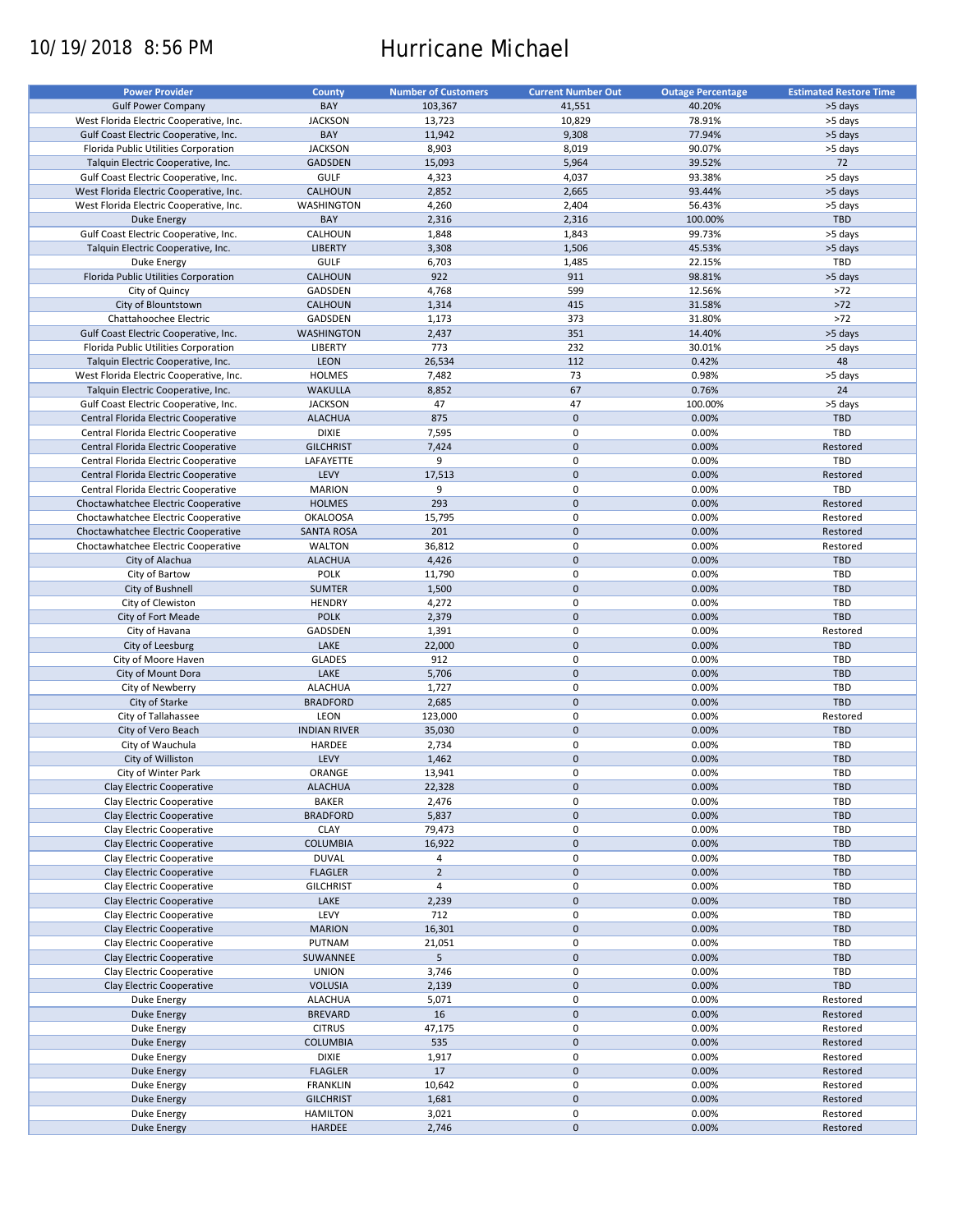# 10/19/2018 8:56 PM Hurricane Michael

| <b>Power Provider</b>                   | <b>County</b>       | <b>Number of Customers</b> | <b>Current Number Out</b> | <b>Outage Percentage</b> | <b>Estimated Restore Time</b> |
|-----------------------------------------|---------------------|----------------------------|---------------------------|--------------------------|-------------------------------|
|                                         |                     |                            |                           |                          |                               |
| <b>Gulf Power Company</b>               | BAY                 | 103,367                    | 41,551                    | 40.20%                   | >5 days                       |
| West Florida Electric Cooperative, Inc. | <b>JACKSON</b>      | 13,723                     | 10,829                    | 78.91%                   | >5 days                       |
| Gulf Coast Electric Cooperative, Inc.   | BAY                 | 11,942                     | 9,308                     | 77.94%                   | >5 days                       |
| Florida Public Utilities Corporation    | <b>JACKSON</b>      | 8,903                      | 8,019                     | 90.07%                   | >5 days                       |
| Talquin Electric Cooperative, Inc.      | <b>GADSDEN</b>      | 15,093                     | 5,964                     | 39.52%                   | 72                            |
| Gulf Coast Electric Cooperative, Inc.   | <b>GULF</b>         | 4,323                      | 4,037                     | 93.38%                   | >5 days                       |
|                                         |                     |                            |                           |                          |                               |
| West Florida Electric Cooperative, Inc. | CALHOUN             | 2,852                      | 2,665                     | 93.44%                   | >5 days                       |
| West Florida Electric Cooperative, Inc. | WASHINGTON          | 4,260                      | 2,404                     | 56.43%                   | >5 days                       |
| <b>Duke Energy</b>                      | BAY                 | 2,316                      | 2,316                     | 100.00%                  | TBD                           |
| Gulf Coast Electric Cooperative, Inc.   | CALHOUN             | 1,848                      | 1,843                     | 99.73%                   | >5 days                       |
| Talquin Electric Cooperative, Inc.      | <b>LIBERTY</b>      | 3,308                      | 1,506                     | 45.53%                   | >5 days                       |
| Duke Energy                             | <b>GULF</b>         | 6,703                      | 1,485                     | 22.15%                   | TBD                           |
|                                         |                     | 922                        | 911                       |                          |                               |
| Florida Public Utilities Corporation    | CALHOUN             |                            |                           | 98.81%                   | >5 days                       |
| City of Quincy                          | GADSDEN             | 4,768                      | 599                       | 12.56%                   | $>72$                         |
| City of Blountstown                     | <b>CALHOUN</b>      | 1,314                      | 415                       | 31.58%                   | $>72$                         |
| Chattahoochee Electric                  | GADSDEN             | 1,173                      | 373                       | 31.80%                   | $>72$                         |
| Gulf Coast Electric Cooperative, Inc.   | <b>WASHINGTON</b>   | 2,437                      | 351                       | 14.40%                   | >5 days                       |
| Florida Public Utilities Corporation    | LIBERTY             | 773                        | 232                       | 30.01%                   | >5 days                       |
|                                         |                     |                            |                           |                          | 48                            |
| Talquin Electric Cooperative, Inc.      | LEON                | 26,534                     | 112                       | 0.42%                    |                               |
| West Florida Electric Cooperative, Inc. | <b>HOLMES</b>       | 7,482                      | 73                        | 0.98%                    | >5 days                       |
| Talquin Electric Cooperative, Inc.      | <b>WAKULLA</b>      | 8,852                      | 67                        | 0.76%                    | 24                            |
| Gulf Coast Electric Cooperative, Inc.   | <b>JACKSON</b>      | 47                         | 47                        | 100.00%                  | >5 days                       |
| Central Florida Electric Cooperative    | <b>ALACHUA</b>      | 875                        | $\pmb{0}$                 | 0.00%                    | <b>TBD</b>                    |
| Central Florida Electric Cooperative    | <b>DIXIE</b>        | 7,595                      | $\mathbf 0$               | 0.00%                    | TBD                           |
|                                         |                     |                            |                           |                          |                               |
| Central Florida Electric Cooperative    | <b>GILCHRIST</b>    | 7,424                      | $\mathbf 0$               | 0.00%                    | Restored                      |
| Central Florida Electric Cooperative    | LAFAYETTE           | 9                          | $\mathbf 0$               | 0.00%                    | TBD                           |
| Central Florida Electric Cooperative    | LEVY                | 17,513                     | $\pmb{0}$                 | 0.00%                    | Restored                      |
| Central Florida Electric Cooperative    | <b>MARION</b>       | 9                          | 0                         | 0.00%                    | TBD                           |
| Choctawhatchee Electric Cooperative     | <b>HOLMES</b>       | 293                        | $\pmb{0}$                 | 0.00%                    | Restored                      |
|                                         |                     |                            | 0                         |                          |                               |
| Choctawhatchee Electric Cooperative     | <b>OKALOOSA</b>     | 15,795                     |                           | 0.00%                    | Restored                      |
| Choctawhatchee Electric Cooperative     | <b>SANTA ROSA</b>   | 201                        | $\mathbf 0$               | 0.00%                    | Restored                      |
| Choctawhatchee Electric Cooperative     | <b>WALTON</b>       | 36,812                     | 0                         | 0.00%                    | Restored                      |
| City of Alachua                         | <b>ALACHUA</b>      | 4,426                      | $\mathbf 0$               | 0.00%                    | <b>TBD</b>                    |
| City of Bartow                          | <b>POLK</b>         | 11,790                     | 0                         | 0.00%                    | TBD                           |
| City of Bushnell                        | <b>SUMTER</b>       | 1,500                      | $\mathbf 0$               | 0.00%                    | <b>TBD</b>                    |
|                                         | <b>HENDRY</b>       |                            | 0                         | 0.00%                    | TBD                           |
| City of Clewiston                       |                     | 4,272                      |                           |                          |                               |
| City of Fort Meade                      | <b>POLK</b>         | 2,379                      | $\mathbf 0$               | 0.00%                    | TBD                           |
| City of Havana                          | GADSDEN             | 1,391                      | $\pmb{0}$                 | 0.00%                    | Restored                      |
| City of Leesburg                        | LAKE                | 22,000                     | $\mathbf 0$               | 0.00%                    | <b>TBD</b>                    |
| City of Moore Haven                     | <b>GLADES</b>       | 912                        | $\pmb{0}$                 | 0.00%                    | TBD                           |
| City of Mount Dora                      | LAKE                | 5,706                      | $\mathbf 0$               | 0.00%                    | TBD                           |
| City of Newberry                        | <b>ALACHUA</b>      | 1,727                      | $\pmb{0}$                 | 0.00%                    | TBD                           |
|                                         |                     |                            |                           |                          |                               |
| City of Starke                          | <b>BRADFORD</b>     | 2,685                      | $\pmb{0}$                 | 0.00%                    | TBD                           |
| City of Tallahassee                     | LEON                | 123,000                    | 0                         | 0.00%                    | Restored                      |
| City of Vero Beach                      | <b>INDIAN RIVER</b> | 35,030                     | $\pmb{0}$                 | 0.00%                    | <b>TBD</b>                    |
| City of Wauchula                        | HARDEE              | 2,734                      | 0                         | 0.00%                    | <b>TBD</b>                    |
| City of Williston                       | LEVY                | 1,462                      | $\pmb{0}$                 | 0.00%                    | <b>TBD</b>                    |
| City of Winter Park                     | ORANGE              |                            | 0                         |                          | TBD                           |
|                                         |                     | 13,941                     |                           | 0.00%                    |                               |
| Clay Electric Cooperative               | <b>ALACHUA</b>      | 22,328                     | $\pmb{0}$                 | 0.00%                    | TBD                           |
| Clay Electric Cooperative               | <b>BAKER</b>        | 2,476                      | 0                         | 0.00%                    | TBD                           |
| Clay Electric Cooperative               | <b>BRADFORD</b>     | 5,837                      | $\pmb{0}$                 | 0.00%                    | <b>TBD</b>                    |
| Clay Electric Cooperative               | <b>CLAY</b>         | 79,473                     | 0                         | 0.00%                    | TBD                           |
| Clay Electric Cooperative               | <b>COLUMBIA</b>     | 16,922                     | $\pmb{0}$                 | 0.00%                    | TBD                           |
| Clay Electric Cooperative               | <b>DUVAL</b>        | 4                          | 0                         | 0.00%                    | TBD                           |
|                                         |                     |                            |                           |                          |                               |
| Clay Electric Cooperative               | <b>FLAGLER</b>      | $\overline{2}$             | $\pmb{0}$                 | 0.00%                    | TBD                           |
| Clay Electric Cooperative               | <b>GILCHRIST</b>    | 4                          | 0                         | 0.00%                    | TBD                           |
| Clay Electric Cooperative               | LAKE                | 2,239                      | 0                         | 0.00%                    | <b>TBD</b>                    |
| Clay Electric Cooperative               | LEVY                | 712                        | 0                         | 0.00%                    | TBD                           |
| Clay Electric Cooperative               | <b>MARION</b>       | 16,301                     | $\pmb{0}$                 | 0.00%                    | <b>TBD</b>                    |
| Clay Electric Cooperative               | PUTNAM              | 21,051                     | 0                         | 0.00%                    | TBD                           |
|                                         |                     |                            | $\pmb{0}$                 |                          |                               |
| Clay Electric Cooperative               | SUWANNEE            | 5                          |                           | 0.00%                    | TBD                           |
| Clay Electric Cooperative               | <b>UNION</b>        | 3,746                      | 0                         | 0.00%                    | TBD                           |
| Clay Electric Cooperative               | <b>VOLUSIA</b>      | 2,139                      | $\pmb{0}$                 | 0.00%                    | TBD                           |
| Duke Energy                             | <b>ALACHUA</b>      | 5,071                      | 0                         | 0.00%                    | Restored                      |
| <b>Duke Energy</b>                      | <b>BREVARD</b>      | 16                         | $\pmb{0}$                 | 0.00%                    | Restored                      |
| Duke Energy                             | <b>CITRUS</b>       | 47,175                     | 0                         | 0.00%                    | Restored                      |
|                                         |                     |                            | $\pmb{0}$                 |                          |                               |
| Duke Energy                             | <b>COLUMBIA</b>     | 535                        |                           | 0.00%                    | Restored                      |
| Duke Energy                             | <b>DIXIE</b>        | 1,917                      | 0                         | 0.00%                    | Restored                      |
| <b>Duke Energy</b>                      | <b>FLAGLER</b>      | 17                         | $\pmb{0}$                 | 0.00%                    | Restored                      |
| Duke Energy                             | <b>FRANKLIN</b>     | 10,642                     | 0                         | 0.00%                    | Restored                      |
| <b>Duke Energy</b>                      | <b>GILCHRIST</b>    | 1,681                      | $\pmb{0}$                 | 0.00%                    | Restored                      |
| Duke Energy                             | <b>HAMILTON</b>     | 3,021                      | 0                         | 0.00%                    | Restored                      |
| <b>Duke Energy</b>                      | HARDEE              | 2,746                      | $\pmb{0}$                 | 0.00%                    | Restored                      |
|                                         |                     |                            |                           |                          |                               |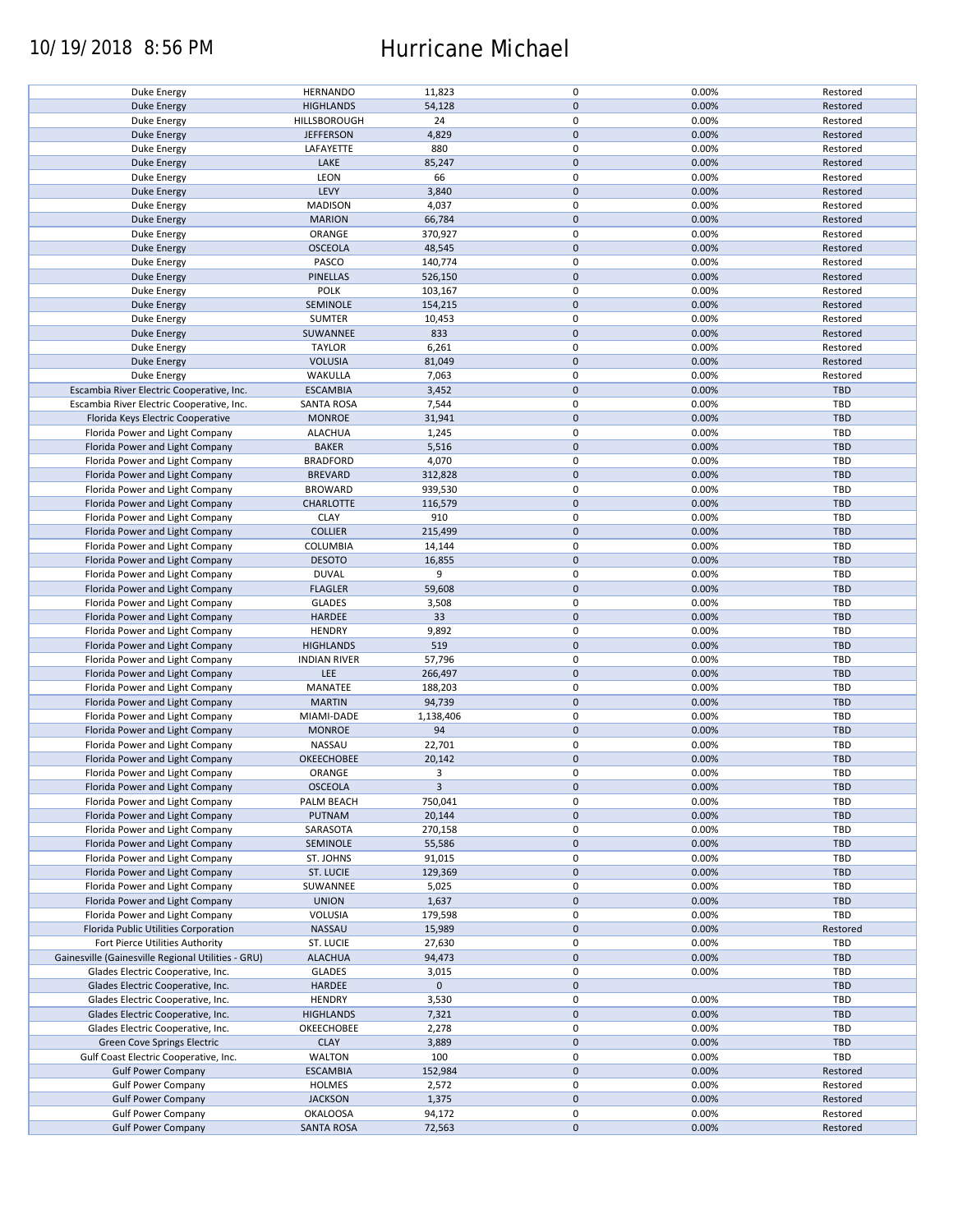### 10/19/2018 8:56 PM Hurricane Michael

| Duke Energy                                        | <b>HERNANDO</b>     | 11,823      | $\pmb{0}$   | 0.00% | Restored   |
|----------------------------------------------------|---------------------|-------------|-------------|-------|------------|
| <b>Duke Energy</b>                                 | <b>HIGHLANDS</b>    | 54,128      | $\mathbf 0$ | 0.00% | Restored   |
| Duke Energy                                        | HILLSBOROUGH        | 24          | 0           | 0.00% | Restored   |
|                                                    |                     |             | $\pmb{0}$   |       |            |
| <b>Duke Energy</b>                                 | <b>JEFFERSON</b>    | 4,829       |             | 0.00% | Restored   |
| Duke Energy                                        | LAFAYETTE           | 880         | 0           | 0.00% | Restored   |
| <b>Duke Energy</b>                                 | LAKE                | 85,247      | $\pmb{0}$   | 0.00% | Restored   |
| Duke Energy                                        | LEON                | 66          | 0           | 0.00% | Restored   |
|                                                    |                     |             |             |       |            |
| <b>Duke Energy</b>                                 | LEVY                | 3,840       | $\pmb{0}$   | 0.00% | Restored   |
| Duke Energy                                        | <b>MADISON</b>      | 4,037       | 0           | 0.00% | Restored   |
| Duke Energy                                        | <b>MARION</b>       | 66,784      | $\pmb{0}$   | 0.00% | Restored   |
|                                                    |                     |             |             |       |            |
| Duke Energy                                        | ORANGE              | 370,927     | 0           | 0.00% | Restored   |
| <b>Duke Energy</b>                                 | <b>OSCEOLA</b>      | 48,545      | $\pmb{0}$   | 0.00% | Restored   |
| Duke Energy                                        | PASCO               | 140,774     | 0           | 0.00% | Restored   |
| Duke Energy                                        | <b>PINELLAS</b>     | 526,150     | $\mathbf 0$ | 0.00% | Restored   |
|                                                    |                     |             |             |       |            |
| Duke Energy                                        | POLK                | 103,167     | $\pmb{0}$   | 0.00% | Restored   |
| <b>Duke Energy</b>                                 | SEMINOLE            | 154,215     | $\pmb{0}$   | 0.00% | Restored   |
| Duke Energy                                        | <b>SUMTER</b>       | 10,453      | $\pmb{0}$   | 0.00% | Restored   |
|                                                    |                     |             |             |       |            |
| <b>Duke Energy</b>                                 | SUWANNEE            | 833         | $\mathbf 0$ | 0.00% | Restored   |
| Duke Energy                                        | <b>TAYLOR</b>       | 6,261       | 0           | 0.00% | Restored   |
| <b>Duke Energy</b>                                 | <b>VOLUSIA</b>      | 81,049      | $\mathbf 0$ | 0.00% | Restored   |
| Duke Energy                                        | WAKULLA             | 7,063       | 0           | 0.00% | Restored   |
|                                                    |                     |             |             |       |            |
| Escambia River Electric Cooperative, Inc.          | <b>ESCAMBIA</b>     | 3,452       | $\mathbf 0$ | 0.00% | <b>TBD</b> |
| Escambia River Electric Cooperative, Inc.          | <b>SANTA ROSA</b>   | 7,544       | 0           | 0.00% | <b>TBD</b> |
| Florida Keys Electric Cooperative                  | <b>MONROE</b>       | 31,941      | $\pmb{0}$   | 0.00% | <b>TBD</b> |
|                                                    |                     |             |             |       |            |
| Florida Power and Light Company                    | <b>ALACHUA</b>      | 1,245       | $\mathbf 0$ | 0.00% | <b>TBD</b> |
| Florida Power and Light Company                    | <b>BAKER</b>        | 5,516       | $\pmb{0}$   | 0.00% | <b>TBD</b> |
| Florida Power and Light Company                    | <b>BRADFORD</b>     | 4,070       | $\mathbf 0$ | 0.00% | TBD        |
|                                                    |                     |             |             |       |            |
| Florida Power and Light Company                    | <b>BREVARD</b>      | 312,828     | $\pmb{0}$   | 0.00% | <b>TBD</b> |
| Florida Power and Light Company                    | <b>BROWARD</b>      | 939,530     | 0           | 0.00% | TBD        |
| Florida Power and Light Company                    | <b>CHARLOTTE</b>    | 116,579     | 0           | 0.00% | <b>TBD</b> |
| Florida Power and Light Company                    | <b>CLAY</b>         | 910         | 0           | 0.00% | <b>TBD</b> |
|                                                    |                     |             |             |       |            |
| Florida Power and Light Company                    | <b>COLLIER</b>      | 215,499     | $\pmb{0}$   | 0.00% | <b>TBD</b> |
| Florida Power and Light Company                    | COLUMBIA            | 14,144      | 0           | 0.00% | TBD        |
| Florida Power and Light Company                    | <b>DESOTO</b>       | 16,855      | $\mathbf 0$ | 0.00% | <b>TBD</b> |
|                                                    |                     |             |             |       |            |
| Florida Power and Light Company                    | <b>DUVAL</b>        | 9           | 0           | 0.00% | TBD        |
| Florida Power and Light Company                    | <b>FLAGLER</b>      | 59,608      | $\pmb{0}$   | 0.00% | <b>TBD</b> |
| Florida Power and Light Company                    | <b>GLADES</b>       | 3,508       | 0           | 0.00% | TBD        |
| Florida Power and Light Company                    | HARDEE              | 33          | $\pmb{0}$   | 0.00% | <b>TBD</b> |
|                                                    |                     |             |             |       |            |
| Florida Power and Light Company                    | <b>HENDRY</b>       | 9,892       | 0           | 0.00% | <b>TBD</b> |
| Florida Power and Light Company                    | <b>HIGHLANDS</b>    | 519         | $\mathbf 0$ | 0.00% | <b>TBD</b> |
| Florida Power and Light Company                    | <b>INDIAN RIVER</b> | 57,796      | $\pmb{0}$   | 0.00% | TBD        |
|                                                    |                     |             |             |       |            |
| Florida Power and Light Company                    | LEE                 | 266,497     | $\mathbf 0$ | 0.00% | <b>TBD</b> |
| Florida Power and Light Company                    | MANATEE             | 188,203     | $\pmb{0}$   | 0.00% | TBD        |
| Florida Power and Light Company                    | <b>MARTIN</b>       | 94,739      | $\pmb{0}$   | 0.00% | <b>TBD</b> |
|                                                    |                     |             |             |       |            |
| Florida Power and Light Company                    | MIAMI-DADE          | 1,138,406   | 0           | 0.00% | TBD        |
| Florida Power and Light Company                    | <b>MONROE</b>       | 94          | $\pmb{0}$   | 0.00% | <b>TBD</b> |
| Florida Power and Light Company                    | NASSAU              | 22,701      | 0           | 0.00% | <b>TBD</b> |
|                                                    | <b>OKEECHOBEE</b>   |             | $\pmb{0}$   | 0.00% | <b>TBD</b> |
| Florida Power and Light Company                    |                     | 20,142      |             |       |            |
| Florida Power and Light Company                    | ORANGE              | 3           | $\mathbf 0$ | 0.00% | TBD        |
| Florida Power and Light Company                    | <b>OSCEOLA</b>      | 3           | $\pmb{0}$   | 0.00% | TBD        |
| Florida Power and Light Company                    | PALM BEACH          | 750,041     | 0           | 0.00% | TBD        |
|                                                    |                     |             |             |       |            |
| Florida Power and Light Company                    | PUTNAM              | 20,144      | $\pmb{0}$   | 0.00% | <b>TBD</b> |
| Florida Power and Light Company                    | SARASOTA            | 270,158     | 0           | 0.00% | TBD        |
| Florida Power and Light Company                    | SEMINOLE            | 55,586      | 0           | 0.00% | <b>TBD</b> |
| Florida Power and Light Company                    | ST. JOHNS           |             | 0           | 0.00% | TBD        |
|                                                    |                     | 91,015      |             |       |            |
| Florida Power and Light Company                    | ST. LUCIE           | 129,369     | 0           | 0.00% | TBD        |
| Florida Power and Light Company                    | SUWANNEE            | 5,025       | 0           | 0.00% | TBD        |
| Florida Power and Light Company                    | <b>UNION</b>        | 1,637       | 0           | 0.00% | <b>TBD</b> |
|                                                    |                     |             |             |       |            |
| Florida Power and Light Company                    | VOLUSIA             | 179,598     | 0           | 0.00% | TBD        |
| Florida Public Utilities Corporation               | <b>NASSAU</b>       | 15,989      | $\pmb{0}$   | 0.00% | Restored   |
| Fort Pierce Utilities Authority                    | ST. LUCIE           | 27,630      | 0           | 0.00% | TBD        |
|                                                    |                     |             |             |       |            |
| Gainesville (Gainesville Regional Utilities - GRU) | <b>ALACHUA</b>      | 94,473      | $\pmb{0}$   | 0.00% | <b>TBD</b> |
| Glades Electric Cooperative, Inc.                  | <b>GLADES</b>       | 3,015       | $\pmb{0}$   | 0.00% | TBD        |
| Glades Electric Cooperative, Inc.                  | HARDEE              | $\mathbf 0$ | $\pmb{0}$   |       | <b>TBD</b> |
| Glades Electric Cooperative, Inc.                  | <b>HENDRY</b>       | 3,530       | 0           | 0.00% | TBD        |
|                                                    |                     |             |             |       |            |
| Glades Electric Cooperative, Inc.                  | <b>HIGHLANDS</b>    | 7,321       | $\pmb{0}$   | 0.00% | <b>TBD</b> |
| Glades Electric Cooperative, Inc.                  | OKEECHOBEE          | 2,278       | $\pmb{0}$   | 0.00% | TBD        |
| Green Cove Springs Electric                        | <b>CLAY</b>         | 3,889       | $\pmb{0}$   | 0.00% | TBD        |
|                                                    |                     |             |             |       |            |
| Gulf Coast Electric Cooperative, Inc.              | <b>WALTON</b>       | 100         | 0           | 0.00% | TBD        |
| <b>Gulf Power Company</b>                          | <b>ESCAMBIA</b>     | 152,984     | $\pmb{0}$   | 0.00% | Restored   |
| <b>Gulf Power Company</b>                          | <b>HOLMES</b>       | 2,572       | 0           | 0.00% | Restored   |
|                                                    |                     |             |             |       |            |
| <b>Gulf Power Company</b>                          | <b>JACKSON</b>      | 1,375       | $\pmb{0}$   | 0.00% | Restored   |
| <b>Gulf Power Company</b>                          | <b>OKALOOSA</b>     | 94,172      | 0           | 0.00% | Restored   |
| <b>Gulf Power Company</b>                          | <b>SANTA ROSA</b>   | 72,563      | $\pmb{0}$   | 0.00% | Restored   |
|                                                    |                     |             |             |       |            |